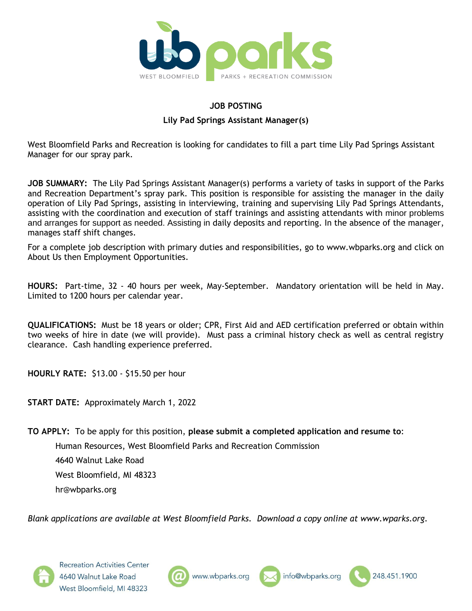

#### **JOB POSTING**

#### **Lily Pad Springs Assistant Manager(s)**

West Bloomfield Parks and Recreation is looking for candidates to fill a part time Lily Pad Springs Assistant Manager for our spray park.

**JOB SUMMARY:** The Lily Pad Springs Assistant Manager(s) performs a variety of tasks in support of the Parks and Recreation Department's spray park. This position is responsible for assisting the manager in the daily operation of Lily Pad Springs, assisting in interviewing, training and supervising Lily Pad Springs Attendants, assisting with the coordination and execution of staff trainings and assisting attendants with minor problems and arranges for support as needed. Assisting in daily deposits and reporting. In the absence of the manager, manages staff shift changes.

For a complete job description with primary duties and responsibilities, go to www.wbparks.org and click on About Us then Employment Opportunities.

**HOURS:** Part-time, 32 - 40 hours per week, May-September. Mandatory orientation will be held in May. Limited to 1200 hours per calendar year.

**QUALIFICATIONS:** Must be 18 years or older; CPR, First Aid and AED certification preferred or obtain within two weeks of hire in date (we will provide). Must pass a criminal history check as well as central registry clearance. Cash handling experience preferred.

**HOURLY RATE:** \$13.00 - \$15.50 per hour

**START DATE:** Approximately March 1, 2022

**TO APPLY:** To be apply for this position, **please submit a completed application and resume to**:

Human Resources, West Bloomfield Parks and Recreation Commission

4640 Walnut Lake Road West Bloomfield, MI 48323 hr@wbparks.org

*Blank applications are available at West Bloomfield Parks. Download a copy online at www.wparks.org.*







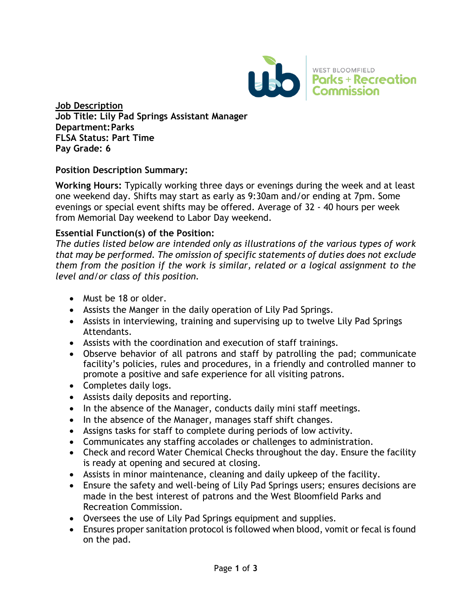

**Job Description Job Title: Lily Pad Springs Assistant Manager Department:Parks FLSA Status: Part Time Pay Grade: 6**

## **Position Description Summary:**

**Working Hours:** Typically working three days or evenings during the week and at least one weekend day. Shifts may start as early as 9:30am and/or ending at 7pm. Some evenings or special event shifts may be offered. Average of 32 - 40 hours per week from Memorial Day weekend to Labor Day weekend.

## **Essential Function(s) of the Position:**

*The duties listed below are intended only as illustrations of the various types of work that may be performed. The omission of specific statements of duties does not exclude them from the position if the work is similar, related or a logical assignment to the level and/or class of this position.* 

- Must be 18 or older.
- Assists the Manger in the daily operation of Lily Pad Springs.
- Assists in interviewing, training and supervising up to twelve Lily Pad Springs Attendants.
- Assists with the coordination and execution of staff trainings.
- Observe behavior of all patrons and staff by patrolling the pad; communicate facility's policies, rules and procedures, in a friendly and controlled manner to promote a positive and safe experience for all visiting patrons.
- Completes daily logs.
- Assists daily deposits and reporting.
- In the absence of the Manager, conducts daily mini staff meetings.
- In the absence of the Manager, manages staff shift changes.
- Assigns tasks for staff to complete during periods of low activity.
- Communicates any staffing accolades or challenges to administration.
- Check and record Water Chemical Checks throughout the day. Ensure the facility is ready at opening and secured at closing.
- Assists in minor maintenance, cleaning and daily upkeep of the facility.
- Ensure the safety and well-being of Lily Pad Springs users; ensures decisions are made in the best interest of patrons and the West Bloomfield Parks and Recreation Commission.
- Oversees the use of Lily Pad Springs equipment and supplies.
- Ensures proper sanitation protocol is followed when blood, vomit or fecal is found on the pad.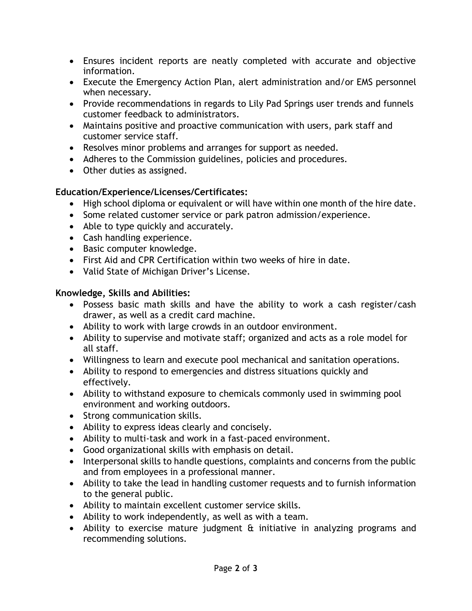- Ensures incident reports are neatly completed with accurate and objective information.
- Execute the Emergency Action Plan, alert administration and/or EMS personnel when necessary.
- Provide recommendations in regards to Lily Pad Springs user trends and funnels customer feedback to administrators.
- Maintains positive and proactive communication with users, park staff and customer service staff.
- Resolves minor problems and arranges for support as needed.
- Adheres to the Commission guidelines, policies and procedures.
- Other duties as assigned.

# **Education/Experience/Licenses/Certificates:**

- High school diploma or equivalent or will have within one month of the hire date.
- Some related customer service or park patron admission/experience.
- Able to type quickly and accurately.
- Cash handling experience.
- Basic computer knowledge.
- First Aid and CPR Certification within two weeks of hire in date.
- Valid State of Michigan Driver's License.

## **Knowledge, Skills and Abilities:**

- Possess basic math skills and have the ability to work a cash register/cash drawer, as well as a credit card machine.
- Ability to work with large crowds in an outdoor environment.
- Ability to supervise and motivate staff; organized and acts as a role model for all staff.
- Willingness to learn and execute pool mechanical and sanitation operations.
- Ability to respond to emergencies and distress situations quickly and effectively.
- Ability to withstand exposure to chemicals commonly used in swimming pool environment and working outdoors.
- Strong communication skills.
- Ability to express ideas clearly and concisely.
- Ability to multi-task and work in a fast-paced environment.
- Good organizational skills with emphasis on detail.
- Interpersonal skills to handle questions, complaints and concerns from the public and from employees in a professional manner.
- Ability to take the lead in handling customer requests and to furnish information to the general public.
- Ability to maintain excellent customer service skills.
- Ability to work independently, as well as with a team.
- Ability to exercise mature judgment & initiative in analyzing programs and recommending solutions.